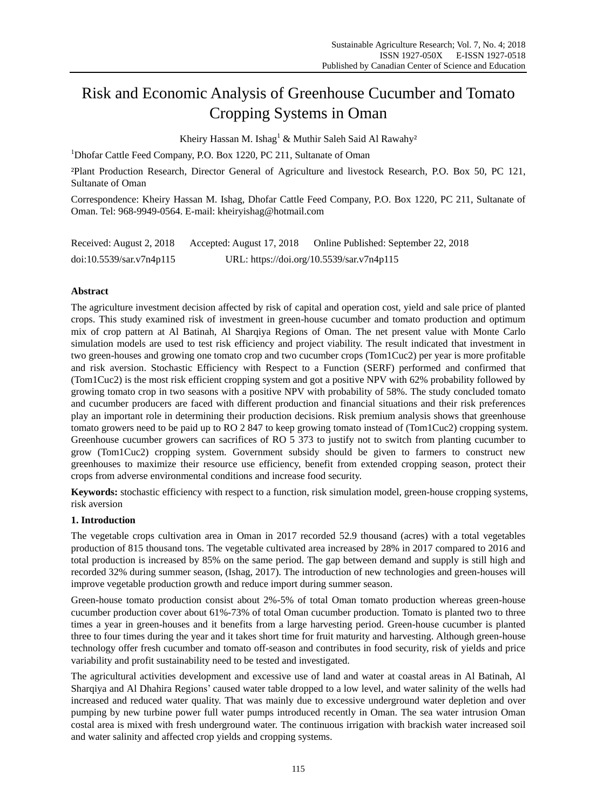# Risk and Economic Analysis of Greenhouse Cucumber and Tomato Cropping Systems in Oman

Kheiry Hassan M. Ishag<sup>1</sup> & Muthir Saleh Said Al Rawahy<sup>2</sup>

<sup>1</sup>Dhofar Cattle Feed Company, P.O. Box 1220, PC 211, Sultanate of Oman

²Plant Production Research, Director General of Agriculture and livestock Research, P.O. Box 50, PC 121, Sultanate of Oman

Correspondence: Kheiry Hassan M. Ishag, Dhofar Cattle Feed Company, P.O. Box 1220, PC 211, Sultanate of Oman. Tel: 968-9949-0564. E-mail: kheiryishag@hotmail.com

| Received: August 2, 2018 | Accepted: August 17, 2018 | Online Published: September 22, 2018      |
|--------------------------|---------------------------|-------------------------------------------|
| doi:10.5539/sar.v7n4p115 |                           | URL: https://doi.org/10.5539/sar.v7n4p115 |

## **Abstract**

The agriculture investment decision affected by risk of capital and operation cost, yield and sale price of planted crops. This study examined risk of investment in green-house cucumber and tomato production and optimum mix of crop pattern at Al Batinah, Al Sharqiya Regions of Oman. The net present value with Monte Carlo simulation models are used to test risk efficiency and project viability. The result indicated that investment in two green-houses and growing one tomato crop and two cucumber crops (Tom1Cuc2) per year is more profitable and risk aversion. Stochastic Efficiency with Respect to a Function (SERF) performed and confirmed that (Tom1Cuc2) is the most risk efficient cropping system and got a positive NPV with 62% probability followed by growing tomato crop in two seasons with a positive NPV with probability of 58%. The study concluded tomato and cucumber producers are faced with different production and financial situations and their risk preferences play an important role in determining their production decisions. Risk premium analysis shows that greenhouse tomato growers need to be paid up to RO 2 847 to keep growing tomato instead of (Tom1Cuc2) cropping system. Greenhouse cucumber growers can sacrifices of RO 5 373 to justify not to switch from planting cucumber to grow (Tom1Cuc2) cropping system. Government subsidy should be given to farmers to construct new greenhouses to maximize their resource use efficiency, benefit from extended cropping season, protect their crops from adverse environmental conditions and increase food security.

**Keywords:** stochastic efficiency with respect to a function, risk simulation model, green-house cropping systems, risk aversion

## **1. Introduction**

The vegetable crops cultivation area in Oman in 2017 recorded 52.9 thousand (acres) with a total vegetables production of 815 thousand tons. The vegetable cultivated area increased by 28% in 2017 compared to 2016 and total production is increased by 85% on the same period. The gap between demand and supply is still high and recorded 32% during summer season, (Ishag, 2017). The introduction of new technologies and green-houses will improve vegetable production growth and reduce import during summer season.

Green-house tomato production consist about 2%-5% of total Oman tomato production whereas green-house cucumber production cover about 61%-73% of total Oman cucumber production. Tomato is planted two to three times a year in green-houses and it benefits from a large harvesting period. Green-house cucumber is planted three to four times during the year and it takes short time for fruit maturity and harvesting. Although green-house technology offer fresh cucumber and tomato off-season and contributes in food security, risk of yields and price variability and profit sustainability need to be tested and investigated.

The agricultural activities development and excessive use of land and water at coastal areas in Al Batinah, Al Sharqiya and Al Dhahira Regions' caused water table dropped to a low level, and water [salinity](https://en.wikipedia.org/wiki/Salinity) of the wells had increased and reduced [water quality.](https://en.wikipedia.org/wiki/Water_quality) That was mainly due to excessive underground water depletion and over pumping by new turbine power full water pumps introduced recently in Oman. The sea water intrusion Oman costal area is mixed with fresh underground water. The continuous irrigation with brackish water increased soil and water salinity and affected crop yields and cropping systems.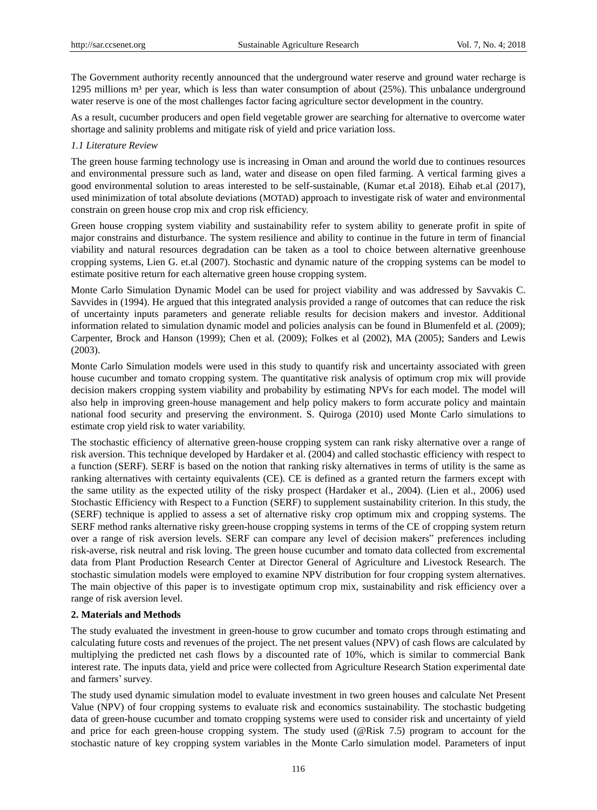The Government authority recently announced that the underground water reserve and ground water recharge is 1295 millions m<sup>3</sup>per year, which is less than water consumption of about (25%). This unbalance underground water reserve is one of the most challenges factor facing agriculture sector development in the country.

As a result, cucumber producers and open field vegetable grower are searching for alternative to overcome water shortage and salinity problems and mitigate risk of yield and price variation loss.

#### *1.1 Literature Review*

The green house farming technology use is increasing in Oman and around the world due to continues resources and environmental pressure such as land, water and disease on open filed farming. A vertical farming gives a good environmental solution to areas interested to be self-sustainable, (Kumar et.al 2018). Eihab et.al (2017), used minimization of total absolute deviations (MOTAD) approach to investigate risk of water and environmental constrain on green house crop mix and crop risk efficiency.

Green house cropping system viability and sustainability refer to system ability to generate profit in spite of major constrains and disturbance. The system resilience and ability to continue in the future in term of financial viability and natural resources degradation can be taken as a tool to choice between alternative greenhouse cropping systems, Lien G. et.al (2007). Stochastic and dynamic nature of the cropping systems can be model to estimate positive return for each alternative green house cropping system.

Monte Carlo Simulation Dynamic Model can be used for project viability and was addressed by Savvakis C. Savvides in (1994). He argued that this integrated analysis provided a range of outcomes that can reduce the risk of uncertainty inputs parameters and generate reliable results for decision makers and investor. Additional information related to simulation dynamic model and policies analysis can be found in Blumenfeld et al. (2009); Carpenter, Brock and Hanson (1999); Chen et al. (2009); Folkes et al (2002), MA (2005); Sanders and Lewis (2003).

Monte Carlo Simulation models were used in this study to quantify risk and uncertainty associated with green house cucumber and tomato cropping system. The quantitative risk analysis of optimum crop mix will provide decision makers cropping system viability and probability by estimating NPVs for each model. The model will also help in improving green-house management and help policy makers to form accurate policy and maintain national food security and preserving the environment. S. Quiroga (2010) used Monte Carlo simulations to estimate crop yield risk to water variability.

The stochastic efficiency of alternative green-house cropping system can rank risky alternative over a range of risk aversion. This technique developed by Hardaker et al. (2004) and called stochastic efficiency with respect to a function (SERF). SERF is based on the notion that ranking risky alternatives in terms of utility is the same as ranking alternatives with certainty equivalents (CE). CE is defined as a granted return the farmers except with the same utility as the expected utility of the risky prospect (Hardaker et al., 2004). (Lien et al., 2006) used Stochastic Efficiency with Respect to a Function (SERF) to supplement sustainability criterion. In this study, the (SERF) technique is applied to assess a set of alternative risky crop optimum mix and cropping systems. The SERF method ranks alternative risky green-house cropping systems in terms of the CE of cropping system return over a range of risk aversion levels. SERF can compare any level of decision makers" preferences including risk-averse, risk neutral and risk loving. The green house cucumber and tomato data collected from excremental data from Plant Production Research Center at Director General of Agriculture and Livestock Research. The stochastic simulation models were employed to examine NPV distribution for four cropping system alternatives. The main objective of this paper is to investigate optimum crop mix, sustainability and risk efficiency over a range of risk aversion level.

#### **2. Materials and Methods**

The study evaluated the investment in green-house to grow cucumber and tomato crops through estimating and calculating future costs and revenues of the project. The net present values (NPV) of cash flows are calculated by multiplying the predicted net cash flows by a discounted rate of 10%, which is similar to commercial Bank interest rate. The inputs data, yield and price were collected from Agriculture Research Station experimental date and farmers' survey.

The study used dynamic simulation model to evaluate investment in two green houses and calculate Net Present Value (NPV) of four cropping systems to evaluate risk and economics sustainability. The stochastic budgeting data of green-house cucumber and tomato cropping systems were used to consider risk and uncertainty of yield and price for each green-house cropping system. The study used (@Risk 7.5) program to account for the stochastic nature of key cropping system variables in the Monte Carlo simulation model. Parameters of input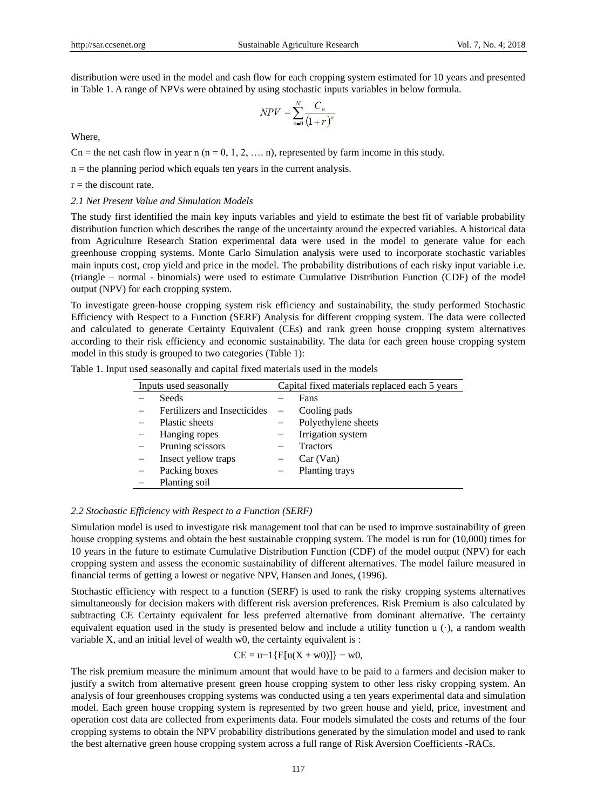distribution were used in the model and cash flow for each cropping system estimated for 10 years and presented in Table 1. A range of NPVs were obtained by using stochastic inputs variables in below formula.

$$
NPV = \sum_{n=0}^{N} \frac{C_n}{(1+r)^n}
$$

Where,

Cn = the net cash flow in year n (n = 0, 1, 2, ..., n), represented by farm income in this study.

 $n =$  the planning period which equals ten years in the current analysis.

 $r =$  the discount rate.

*2.1 Net Present Value and Simulation Models*

The study first identified the main key inputs variables and yield to estimate the best fit of variable probability distribution function which describes the range of the uncertainty around the expected variables. A historical data from Agriculture Research Station experimental data were used in the model to generate value for each greenhouse cropping systems. Monte Carlo Simulation analysis were used to incorporate stochastic variables main inputs cost, crop yield and price in the model. The probability distributions of each risky input variable i.e. (triangle – normal - binomials) were used to estimate Cumulative Distribution Function (CDF) of the model output (NPV) for each cropping system.

To investigate green-house cropping system risk efficiency and sustainability, the study performed Stochastic Efficiency with Respect to a Function (SERF) Analysis for different cropping system. The data were collected and calculated to generate Certainty Equivalent (CEs) and rank green house cropping system alternatives according to their risk efficiency and economic sustainability. The data for each green house cropping system model in this study is grouped to two categories (Table 1):

| Inputs used seasonally |                              | Capital fixed materials replaced each 5 years |                     |  |
|------------------------|------------------------------|-----------------------------------------------|---------------------|--|
|                        | <b>Seeds</b>                 |                                               | Fans                |  |
|                        | Fertilizers and Insecticides | $\overline{\phantom{0}}$                      | Cooling pads        |  |
|                        | Plastic sheets               |                                               | Polyethylene sheets |  |
|                        | Hanging ropes                |                                               | Irrigation system   |  |
|                        | Pruning scissors             |                                               | <b>Tractors</b>     |  |
|                        | Insect yellow traps          |                                               | Car (Van)           |  |
|                        | Packing boxes                |                                               | Planting trays      |  |

Table 1. Input used seasonally and capital fixed materials used in the models

## *2.2 Stochastic Efficiency with Respect to a Function (SERF)*

Planting soil

Simulation model is used to investigate risk management tool that can be used to improve sustainability of green house cropping systems and obtain the best sustainable cropping system. The model is run for (10,000) times for 10 years in the future to estimate Cumulative Distribution Function (CDF) of the model output (NPV) for each cropping system and assess the economic sustainability of different alternatives. The model failure measured in financial terms of getting a lowest or negative NPV, Hansen and Jones, (1996).

Stochastic efficiency with respect to a function (SERF) is used to rank the risky cropping systems alternatives simultaneously for decision makers with different risk aversion preferences. Risk Premium is also calculated by subtracting CE Certainty equivalent for less preferred alternative from dominant alternative. The certainty equivalent equation used in the study is presented below and include a utility function u ( $\lambda$ ), a random wealth variable X, and an initial level of wealth w0, the certainty equivalent is :

#### $CE = u-1\{E[u(X + w0)]\} - w0,$

The risk premium measure the minimum amount that would have to be paid to a farmers and decision maker to justify a switch from alternative present green house cropping system to other less risky cropping system. An analysis of four greenhouses cropping systems was conducted using a ten years experimental data and simulation model. Each green house cropping system is represented by two green house and yield, price, investment and operation cost data are collected from experiments data. Four models simulated the costs and returns of the four cropping systems to obtain the NPV probability distributions generated by the simulation model and used to rank the best alternative green house cropping system across a full range of Risk Aversion Coefficients -RACs.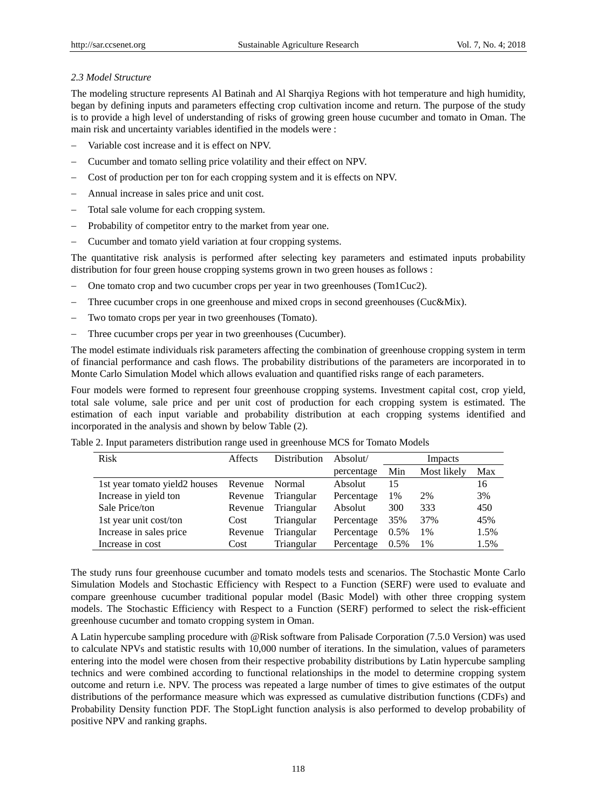## *2.3 Model Structure*

The modeling structure represents Al Batinah and Al Sharqiya Regions with hot temperature and high humidity, began by defining inputs and parameters effecting crop cultivation income and return. The purpose of the study is to provide a high level of understanding of risks of growing green house cucumber and tomato in Oman. The main risk and uncertainty variables identified in the models were :

- Variable cost increase and it is effect on NPV.
- Cucumber and tomato selling price volatility and their effect on NPV.
- Cost of production per ton for each cropping system and it is effects on NPV.
- Annual increase in sales price and unit cost.
- Total sale volume for each cropping system.
- Probability of competitor entry to the market from year one.
- Cucumber and tomato yield variation at four cropping systems.

The quantitative risk analysis is performed after selecting key parameters and estimated inputs probability distribution for four green house cropping systems grown in two green houses as follows :

- One tomato crop and two cucumber crops per year in two greenhouses (Tom1Cuc2).
- Three cucumber crops in one greenhouse and mixed crops in second greenhouses (Cuc&Mix).
- Two tomato crops per year in two greenhouses (Tomato).
- Three cucumber crops per year in two greenhouses (Cucumber).

The model estimate individuals risk parameters affecting the combination of greenhouse cropping system in term of financial performance and cash flows. The probability distributions of the parameters are incorporated in to Monte Carlo Simulation Model which allows evaluation and quantified risks range of each parameters.

Four models were formed to represent four greenhouse cropping systems. Investment capital cost, crop yield, total sale volume, sale price and per unit cost of production for each cropping system is estimated. The estimation of each input variable and probability distribution at each cropping systems identified and incorporated in the analysis and shown by below Table (2).

| <b>Risk</b>                   | Affects | <b>Distribution</b> | $\lambda$ bsolut/ | Impacts |             |      |
|-------------------------------|---------|---------------------|-------------------|---------|-------------|------|
|                               |         |                     | percentage        | Min     | Most likely | Max  |
| 1st year tomato yield2 houses | Revenue | Normal              | Absolut           | 15      |             | 16   |
| Increase in yield ton         | Revenue | Triangular          | Percentage        | 1%      | 2%          | 3%   |
| Sale Price/ton                | Revenue | Triangular          | Absolut           | 300     | 333         | 450  |
| 1st year unit cost/ton        | Cost    | Triangular          | Percentage        | 35%     | 37%         | 45%  |
| Increase in sales price       | Revenue | Triangular          | Percentage        | $0.5\%$ | 1%          | 1.5% |
| Increase in cost              | Cost    | Triangular          | Percentage        | $0.5\%$ | 1%          | 1.5% |

Table 2. Input parameters distribution range used in greenhouse MCS for Tomato Models

The study runs four greenhouse cucumber and tomato models tests and scenarios. The Stochastic Monte Carlo Simulation Models and Stochastic Efficiency with Respect to a Function (SERF) were used to evaluate and compare greenhouse cucumber traditional popular model (Basic Model) with other three cropping system models. The Stochastic Efficiency with Respect to a Function (SERF) performed to select the risk-efficient greenhouse cucumber and tomato cropping system in Oman.

A Latin hypercube sampling procedure with @Risk software from Palisade Corporation (7.5.0 Version) was used to calculate NPVs and statistic results with 10,000 number of iterations. In the simulation, values of parameters entering into the model were chosen from their respective probability distributions by Latin hypercube sampling technics and were combined according to functional relationships in the model to determine cropping system outcome and return i.e. NPV. The process was repeated a large number of times to give estimates of the output distributions of the performance measure which was expressed as cumulative distribution functions (CDFs) and Probability Density function PDF. The StopLight function analysis is also performed to develop probability of positive NPV and ranking graphs.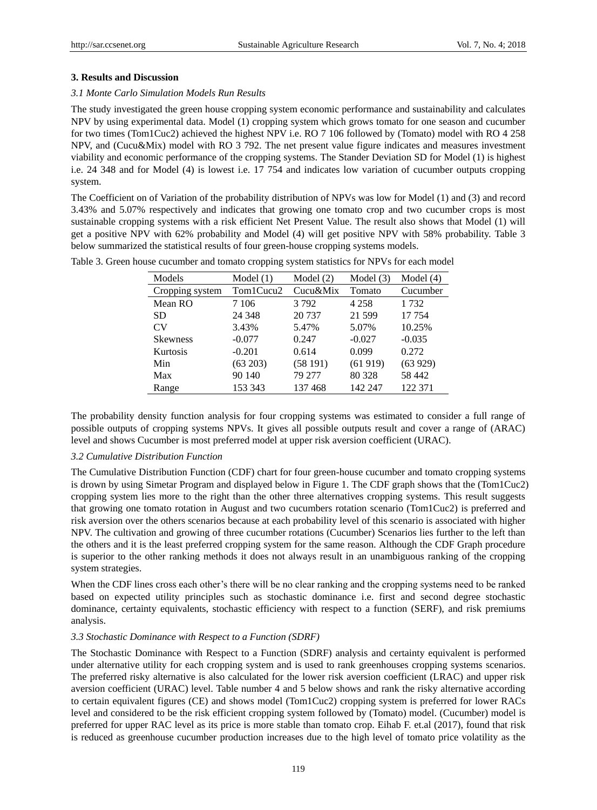## **3. Results and Discussion**

## *3.1 Monte Carlo Simulation Models Run Results*

The study investigated the green house cropping system economic performance and sustainability and calculates NPV by using experimental data. Model (1) cropping system which grows tomato for one season and cucumber for two times (Tom1Cuc2) achieved the highest NPV i.e. RO 7 106 followed by (Tomato) model with RO 4 258 NPV, and (Cucu&Mix) model with RO 3 792. The net present value figure indicates and measures investment viability and economic performance of the cropping systems. The Stander Deviation SD for Model (1) is highest i.e. 24 348 and for Model (4) is lowest i.e. 17 754 and indicates low variation of cucumber outputs cropping system.

The Coefficient on of Variation of the probability distribution of NPVs was low for Model (1) and (3) and record 3.43% and 5.07% respectively and indicates that growing one tomato crop and two cucumber crops is most sustainable cropping systems with a risk efficient Net Present Value. The result also shows that Model (1) will get a positive NPV with 62% probability and Model (4) will get positive NPV with 58% probability. Table 3 below summarized the statistical results of four green-house cropping systems models.

| Models          | Model $(1)$ | Model $(2)$ | Model $(3)$ | Model $(4)$ |
|-----------------|-------------|-------------|-------------|-------------|
| Cropping system | Tom1Cucu2   | Cucu&Mix    | Tomato      | Cucumber    |
| Mean RO         | 7 1 0 6     | 3792        | 4 2 5 8     | 1 7 3 2     |
| SD              | 24 3 48     | 20 737      | 21 599      | 17 754      |
| <b>CV</b>       | 3.43%       | 5.47%       | 5.07%       | 10.25%      |
| <b>Skewness</b> | $-0.077$    | 0.247       | $-0.027$    | $-0.035$    |
| Kurtosis        | $-0.201$    | 0.614       | 0.099       | 0.272       |
| Min             | (63 203)    | (58191)     | (61919)     | (63929)     |
| Max             | 90 140      | 79 277      | 80 328      | 58 442      |
| Range           | 153 343     | 137468      | 142 247     | 122 371     |

Table 3. Green house cucumber and tomato cropping system statistics for NPVs for each model

The probability density function analysis for four cropping systems was estimated to consider a full range of possible outputs of cropping systems NPVs. It gives all possible outputs result and cover a range of (ARAC) level and shows Cucumber is most preferred model at upper risk aversion coefficient (URAC).

#### *3.2 Cumulative Distribution Function*

The Cumulative Distribution Function (CDF) chart for four green-house cucumber and tomato cropping systems is drown by using Simetar Program and displayed below in Figure 1. The CDF graph shows that the (Tom1Cuc2) cropping system lies more to the right than the other three alternatives cropping systems. This result suggests that growing one tomato rotation in August and two cucumbers rotation scenario (Tom1Cuc2) is preferred and risk aversion over the others scenarios because at each probability level of this scenario is associated with higher NPV. The cultivation and growing of three cucumber rotations (Cucumber) Scenarios lies further to the left than the others and it is the least preferred cropping system for the same reason. Although the CDF Graph procedure is superior to the other ranking methods it does not always result in an unambiguous ranking of the cropping system strategies.

When the CDF lines cross each other's there will be no clear ranking and the cropping systems need to be ranked based on expected utility principles such as stochastic dominance i.e. first and second degree stochastic dominance, certainty equivalents, stochastic efficiency with respect to a function (SERF), and risk premiums analysis.

## *3.3 Stochastic Dominance with Respect to a Function (SDRF)*

The Stochastic Dominance with Respect to a Function (SDRF) analysis and certainty equivalent is performed under alternative utility for each cropping system and is used to rank greenhouses cropping systems scenarios. The preferred risky alternative is also calculated for the lower risk aversion coefficient (LRAC) and upper risk aversion coefficient (URAC) level. Table number 4 and 5 below shows and rank the risky alternative according to certain equivalent figures (CE) and shows model (Tom1Cuc2) cropping system is preferred for lower RACs level and considered to be the risk efficient cropping system followed by (Tomato) model. (Cucumber) model is preferred for upper RAC level as its price is more stable than tomato crop. Eihab F. et.al (2017), found that risk is reduced as greenhouse cucumber production increases due to the high level of tomato price volatility as the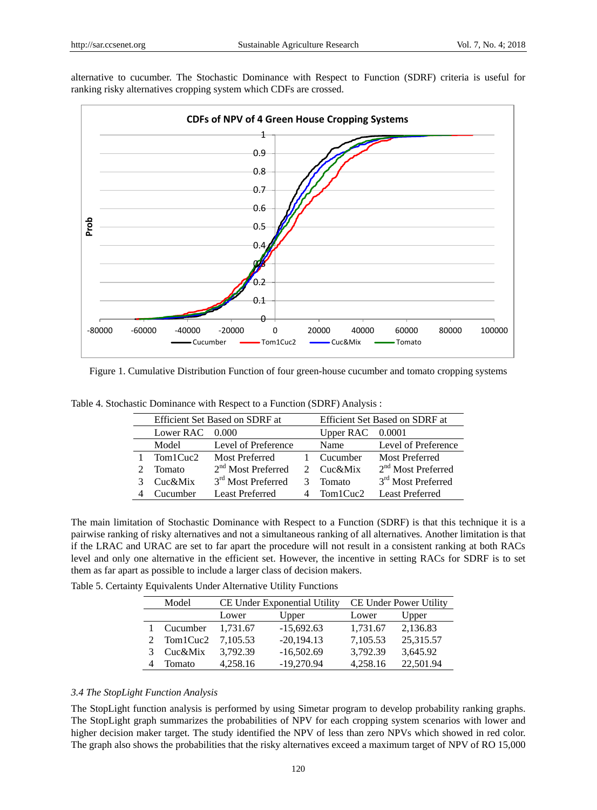

alternative to cucumber. The Stochastic Dominance with Respect to Function (SDRF) criteria is useful for ranking risky alternatives cropping system which CDFs are crossed.

Figure 1. Cumulative Distribution Function of four green-house cucumber and tomato cropping systems

|           | Efficient Set Based on SDRF at | Efficient Set Based on SDRF at |                    |                                |
|-----------|--------------------------------|--------------------------------|--------------------|--------------------------------|
| Lower RAC | 0.000                          |                                | Upper $RAC$ 0.0001 |                                |
| Model     | Level of Preference            |                                | Name               | Level of Preference            |
| Tom1Cuc2  | Most Preferred                 |                                | Cucumber           | Most Preferred                 |
| Tomato    | $2nd$ Most Preferred           |                                | Cuc&Mix            | $2nd$ Most Preferred           |
| Cuc&Mix   | 3 <sup>rd</sup> Most Preferred |                                | Tomato             | 3 <sup>rd</sup> Most Preferred |
| Cucumber  | <b>Least Preferred</b>         |                                | Tom1Cuc2           | <b>Least Preferred</b>         |

Table 4. Stochastic Dominance with Respect to a Function (SDRF) Analysis :

The main limitation of Stochastic Dominance with Respect to a Function (SDRF) is that this technique it is a pairwise ranking of risky alternatives and not a simultaneous ranking of all alternatives. Another limitation is that if the LRAC and URAC are set to far apart the procedure will not result in a consistent ranking at both RACs level and only one alternative in the efficient set. However, the incentive in setting RACs for SDRF is to set them as far apart as possible to include a larger class of decision makers.

Table 5. Certainty Equivalents Under Alternative Utility Functions

|   | Model      |                | CE Under Exponential Utility | <b>CE Under Power Utility</b> |           |  |
|---|------------|----------------|------------------------------|-------------------------------|-----------|--|
|   |            | Upper<br>Lower |                              | Lower                         | Upper     |  |
|   | Cucumber   | 1.731.67       | $-15,692.63$                 | 1,731.67                      | 2,136.83  |  |
|   | Tom1Cuc2   | 7,105.53       | $-20,194.13$                 | 7,105.53                      | 25,315.57 |  |
| 3 | $Cuc\&Mix$ | 3,792.39       | $-16,502.69$                 | 3,792.39                      | 3,645.92  |  |
|   | Tomato     | 4.258.16       | $-19,270.94$                 | 4.258.16                      | 22,501.94 |  |

#### *3.4 The StopLight Function Analysis*

The StopLight function analysis is performed by using Simetar program to develop probability ranking graphs. The StopLight graph summarizes the probabilities of NPV for each cropping system scenarios with lower and higher decision maker target. The study identified the NPV of less than zero NPVs which showed in red color. The graph also shows the probabilities that the risky alternatives exceed a maximum target of NPV of RO 15,000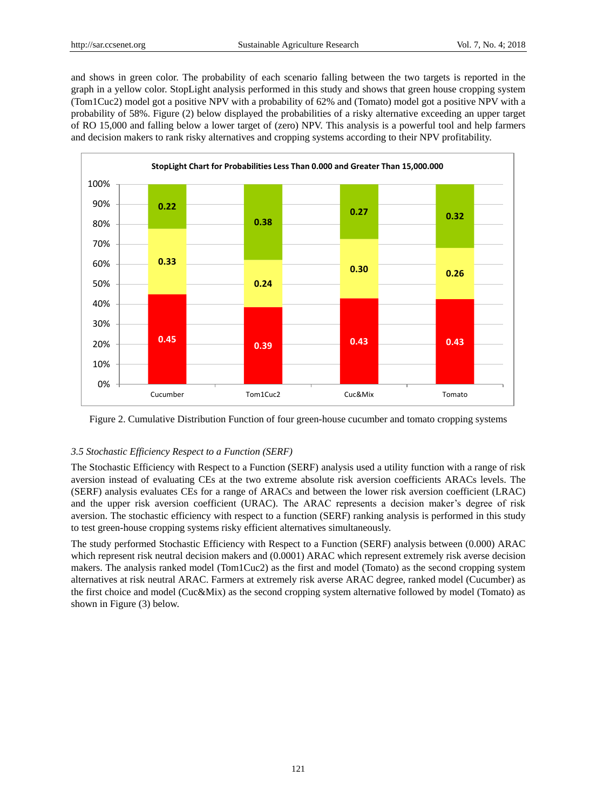and shows in green color. The probability of each scenario falling between the two targets is reported in the graph in a yellow color. StopLight analysis performed in this study and shows that green house cropping system (Tom1Cuc2) model got a positive NPV with a probability of 62% and (Tomato) model got a positive NPV with a probability of 58%. Figure (2) below displayed the probabilities of a risky alternative exceeding an upper target of RO 15,000 and falling below a lower target of (zero) NPV. This analysis is a powerful tool and help farmers and decision makers to rank risky alternatives and cropping systems according to their NPV profitability.



Figure 2. Cumulative Distribution Function of four green-house cucumber and tomato cropping systems

## *3.5 Stochastic Efficiency Respect to a Function (SERF)*

The Stochastic Efficiency with Respect to a Function (SERF) analysis used a utility function with a range of risk aversion instead of evaluating CEs at the two extreme absolute risk aversion coefficients ARACs levels. The (SERF) analysis evaluates CEs for a range of ARACs and between the lower risk aversion coefficient (LRAC) and the upper risk aversion coefficient (URAC). The ARAC represents a decision maker's degree of risk aversion. The stochastic efficiency with respect to a function (SERF) ranking analysis is performed in this study to test green-house cropping systems risky efficient alternatives simultaneously.

The study performed Stochastic Efficiency with Respect to a Function (SERF) analysis between (0.000) ARAC which represent risk neutral decision makers and (0.0001) ARAC which represent extremely risk averse decision makers. The analysis ranked model (Tom1Cuc2) as the first and model (Tomato) as the second cropping system alternatives at risk neutral ARAC. Farmers at extremely risk averse ARAC degree, ranked model (Cucumber) as the first choice and model (Cuc&Mix) as the second cropping system alternative followed by model (Tomato) as shown in Figure (3) below.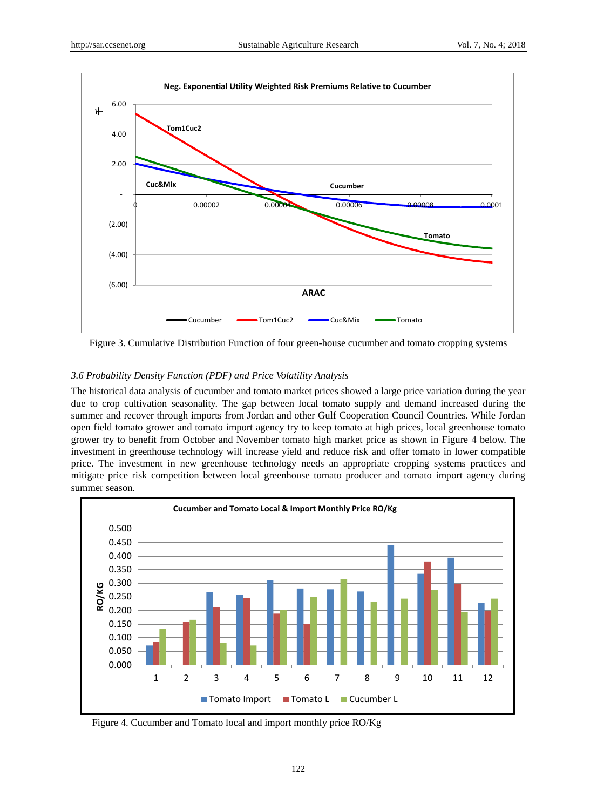

Figure 3. Cumulative Distribution Function of four green-house cucumber and tomato cropping systems

### *3.6 Probability Density Function (PDF) and Price Volatility Analysis*

The historical data analysis of cucumber and tomato market prices showed a large price variation during the year due to crop cultivation seasonality. The gap between local tomato supply and demand increased during the summer and recover through imports from Jordan and other Gulf Cooperation Council Countries. While Jordan open field tomato grower and tomato import agency try to keep tomato at high prices, local greenhouse tomato grower try to benefit from October and November tomato high market price as shown in Figure 4 below. The investment in greenhouse technology will increase yield and reduce risk and offer tomato in lower compatible price. The investment in new greenhouse technology needs an appropriate cropping systems practices and mitigate price risk competition between local greenhouse tomato producer and tomato import agency during summer season.



Figure 4. Cucumber and Tomato local and import monthly price RO/Kg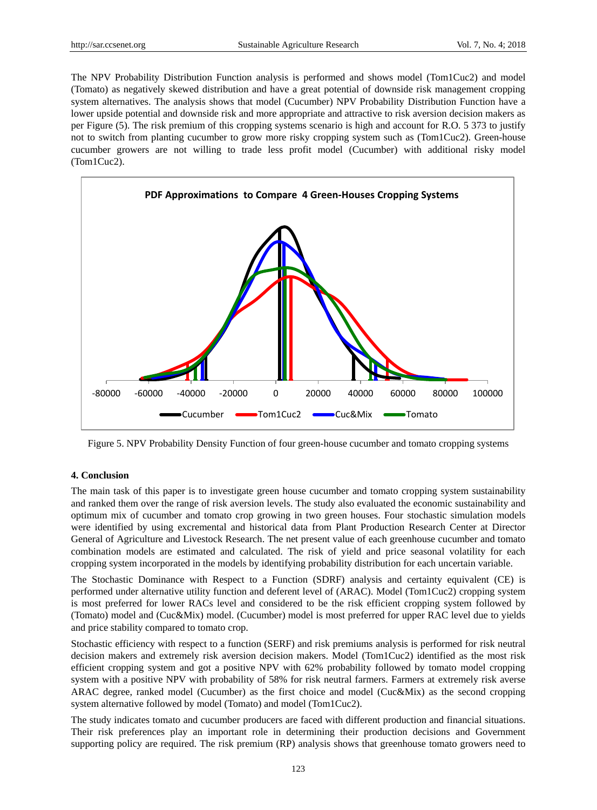The NPV Probability Distribution Function analysis is performed and shows model (Tom1Cuc2) and model (Tomato) as negatively skewed distribution and have a great potential of downside risk management cropping system alternatives. The analysis shows that model (Cucumber) NPV Probability Distribution Function have a lower upside potential and downside risk and more appropriate and attractive to risk aversion decision makers as per Figure (5). The risk premium of this cropping systems scenario is high and account for R.O. 5 373 to justify not to switch from planting cucumber to grow more risky cropping system such as (Tom1Cuc2). Green-house cucumber growers are not willing to trade less profit model (Cucumber) with additional risky model (Tom1Cuc2).



Figure 5. NPV Probability Density Function of four green-house cucumber and tomato cropping systems

### **4. Conclusion**

The main task of this paper is to investigate green house cucumber and tomato cropping system sustainability and ranked them over the range of risk aversion levels. The study also evaluated the economic sustainability and optimum mix of cucumber and tomato crop growing in two green houses. Four stochastic simulation models were identified by using excremental and historical data from Plant Production Research Center at Director General of Agriculture and Livestock Research. The net present value of each greenhouse cucumber and tomato combination models are estimated and calculated. The risk of yield and price seasonal volatility for each cropping system incorporated in the models by identifying probability distribution for each uncertain variable.

The Stochastic Dominance with Respect to a Function (SDRF) analysis and certainty equivalent (CE) is performed under alternative utility function and deferent level of (ARAC). Model (Tom1Cuc2) cropping system is most preferred for lower RACs level and considered to be the risk efficient cropping system followed by (Tomato) model and (Cuc&Mix) model. (Cucumber) model is most preferred for upper RAC level due to yields and price stability compared to tomato crop.

Stochastic efficiency with respect to a function (SERF) and risk premiums analysis is performed for risk neutral decision makers and extremely risk aversion decision makers. Model (Tom1Cuc2) identified as the most risk efficient cropping system and got a positive NPV with 62% probability followed by tomato model cropping system with a positive NPV with probability of 58% for risk neutral farmers. Farmers at extremely risk averse ARAC degree, ranked model (Cucumber) as the first choice and model (Cuc&Mix) as the second cropping system alternative followed by model (Tomato) and model (Tom1Cuc2).

The study indicates tomato and cucumber producers are faced with different production and financial situations. Their risk preferences play an important role in determining their production decisions and Government supporting policy are required. The risk premium (RP) analysis shows that greenhouse tomato growers need to